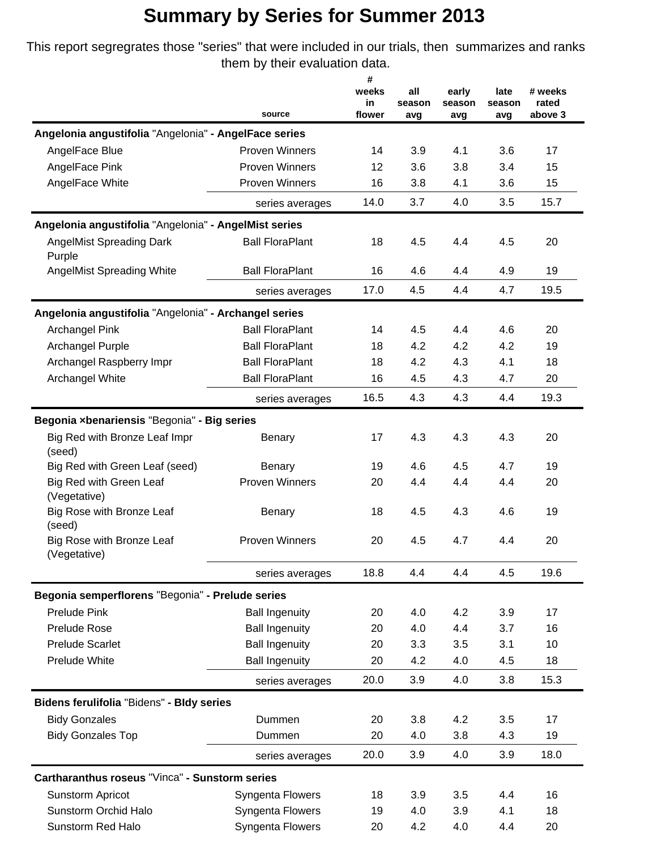This report segregrates those "series" that were included in our trials, then summarizes and ranks them by their evaluation data.

|                                                       |                        | #            |               |        |               |                  |
|-------------------------------------------------------|------------------------|--------------|---------------|--------|---------------|------------------|
|                                                       |                        | weeks        | all           | early  | late          | # weeks          |
|                                                       | source                 | in<br>flower | season<br>avg | season | season<br>avg | rated<br>above 3 |
| Angelonia angustifolia "Angelonia" - AngelFace series |                        |              |               | avg    |               |                  |
| AngelFace Blue                                        | <b>Proven Winners</b>  | 14           | 3.9           | 4.1    | 3.6           | 17               |
| AngelFace Pink                                        | <b>Proven Winners</b>  | 12           | 3.6           | 3.8    | 3.4           | 15               |
| AngelFace White                                       | <b>Proven Winners</b>  | 16           | 3.8           | 4.1    | 3.6           | 15               |
|                                                       | series averages        | 14.0         | 3.7           | 4.0    | 3.5           | 15.7             |
|                                                       |                        |              |               |        |               |                  |
| Angelonia angustifolia "Angelonia" - AngelMist series |                        |              |               |        |               |                  |
| <b>AngelMist Spreading Dark</b><br>Purple             | <b>Ball FloraPlant</b> | 18           | 4.5           | 4.4    | 4.5           | 20               |
| <b>AngelMist Spreading White</b>                      | <b>Ball FloraPlant</b> | 16           | 4.6           | 4.4    | 4.9           | 19               |
|                                                       | series averages        | 17.0         | 4.5           | 4.4    | 4.7           | 19.5             |
| Angelonia angustifolia "Angelonia" - Archangel series |                        |              |               |        |               |                  |
| <b>Archangel Pink</b>                                 | <b>Ball FloraPlant</b> | 14           | 4.5           | 4.4    | 4.6           | 20               |
| Archangel Purple                                      | <b>Ball FloraPlant</b> | 18           | 4.2           | 4.2    | 4.2           | 19               |
| Archangel Raspberry Impr                              | <b>Ball FloraPlant</b> | 18           | 4.2           | 4.3    | 4.1           | 18               |
| Archangel White                                       | <b>Ball FloraPlant</b> | 16           | 4.5           | 4.3    | 4.7           | 20               |
|                                                       | series averages        | 16.5         | 4.3           | 4.3    | 4.4           | 19.3             |
| Begonia xbenariensis "Begonia" - Big series           |                        |              |               |        |               |                  |
| Big Red with Bronze Leaf Impr<br>(seed)               | Benary                 | 17           | 4.3           | 4.3    | 4.3           | 20               |
| Big Red with Green Leaf (seed)                        | Benary                 | 19           | 4.6           | 4.5    | 4.7           | 19               |
| Big Red with Green Leaf<br>(Vegetative)               | <b>Proven Winners</b>  | 20           | 4.4           | 4.4    | 4.4           | 20               |
| Big Rose with Bronze Leaf<br>(seed)                   | Benary                 | 18           | 4.5           | 4.3    | 4.6           | 19               |
| Big Rose with Bronze Leaf<br>(Vegetative)             | <b>Proven Winners</b>  | 20           | 4.5           | 4.7    | 4.4           | 20               |
|                                                       | series averages        | 18.8         | 4.4           | 4.4    | 4.5           | 19.6             |
| Begonia semperflorens "Begonia" - Prelude series      |                        |              |               |        |               |                  |
| <b>Prelude Pink</b>                                   | <b>Ball Ingenuity</b>  | 20           | 4.0           | 4.2    | 3.9           | 17               |
| Prelude Rose                                          | <b>Ball Ingenuity</b>  | 20           | 4.0           | 4.4    | 3.7           | 16               |
| <b>Prelude Scarlet</b>                                | <b>Ball Ingenuity</b>  | 20           | 3.3           | 3.5    | 3.1           | 10               |
| <b>Prelude White</b>                                  | <b>Ball Ingenuity</b>  | 20           | 4.2           | 4.0    | 4.5           | 18               |
|                                                       | series averages        | 20.0         | 3.9           | 4.0    | 3.8           | 15.3             |
| Bidens ferulifolia "Bidens" - Bldy series             |                        |              |               |        |               |                  |
| <b>Bidy Gonzales</b>                                  | Dummen                 | 20           | 3.8           | 4.2    | 3.5           | 17               |
| <b>Bidy Gonzales Top</b>                              | Dummen                 | 20           | 4.0           | 3.8    | 4.3           | 19               |
|                                                       |                        | 20.0         | 3.9           | 4.0    | 3.9           | 18.0             |
|                                                       | series averages        |              |               |        |               |                  |
| Cartharanthus roseus "Vinca" - Sunstorm series        |                        |              |               |        |               |                  |
| Sunstorm Apricot                                      | Syngenta Flowers       | 18           | 3.9           | 3.5    | 4.4           | 16               |
| Sunstorm Orchid Halo                                  | Syngenta Flowers       | 19           | 4.0           | 3.9    | 4.1           | 18               |
| Sunstorm Red Halo                                     | Syngenta Flowers       | 20           | 4.2           | 4.0    | 4.4           | 20               |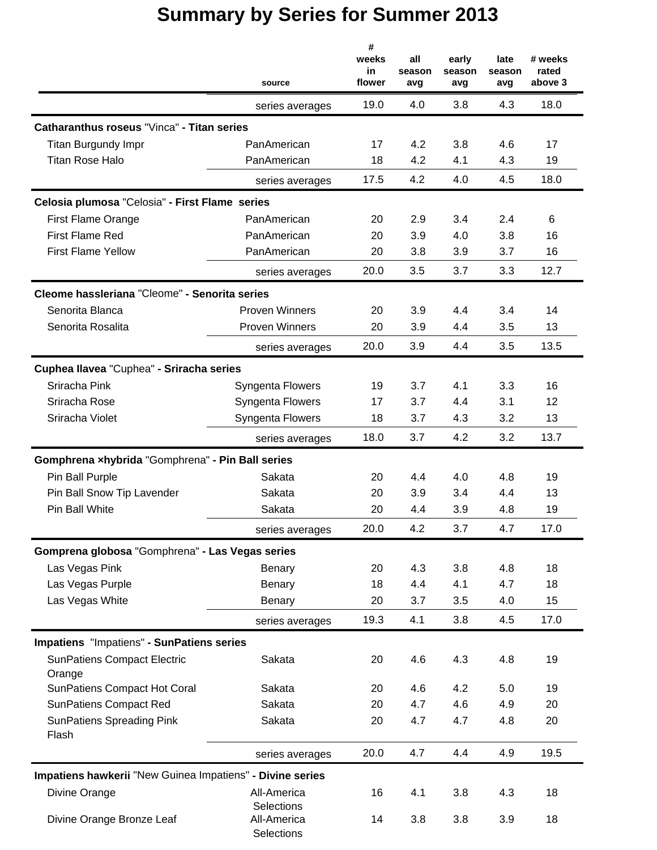|                                                           | source                                  | #<br>weeks<br>in<br>flower | all<br>season<br>avg | early<br>season<br>avg | late<br>season<br>avg | # weeks<br>rated<br>above 3 |
|-----------------------------------------------------------|-----------------------------------------|----------------------------|----------------------|------------------------|-----------------------|-----------------------------|
|                                                           | series averages                         | 19.0                       | 4.0                  | 3.8                    | 4.3                   | 18.0                        |
| Catharanthus roseus "Vinca" - Titan series                |                                         |                            |                      |                        |                       |                             |
| Titan Burgundy Impr                                       | PanAmerican                             | 17                         | 4.2                  | 3.8                    | 4.6                   | 17                          |
| <b>Titan Rose Halo</b>                                    | PanAmerican                             | 18                         | 4.2                  | 4.1                    | 4.3                   | 19                          |
|                                                           | series averages                         | 17.5                       | 4.2                  | 4.0                    | 4.5                   | 18.0                        |
| Celosia plumosa "Celosia" - First Flame series            |                                         |                            |                      |                        |                       |                             |
| <b>First Flame Orange</b>                                 | PanAmerican                             | 20                         | 2.9                  | 3.4                    | 2.4                   | 6                           |
| <b>First Flame Red</b>                                    | PanAmerican                             | 20                         | 3.9                  | 4.0                    | 3.8                   | 16                          |
| <b>First Flame Yellow</b>                                 | PanAmerican                             | 20                         | 3.8                  | 3.9                    | 3.7                   | 16                          |
|                                                           | series averages                         | 20.0                       | 3.5                  | 3.7                    | 3.3                   | 12.7                        |
| Cleome hassleriana "Cleome" - Senorita series             |                                         |                            |                      |                        |                       |                             |
| Senorita Blanca                                           | <b>Proven Winners</b>                   | 20                         | 3.9                  | 4.4                    | 3.4                   | 14                          |
| Senorita Rosalita                                         | <b>Proven Winners</b>                   | 20                         | 3.9                  | 4.4                    | 3.5                   | 13                          |
|                                                           | series averages                         | 20.0                       | 3.9                  | 4.4                    | 3.5                   | 13.5                        |
| Cuphea Ilavea "Cuphea" - Sriracha series                  |                                         |                            |                      |                        |                       |                             |
| Sriracha Pink                                             | Syngenta Flowers                        | 19                         | 3.7                  | 4.1                    | 3.3                   | 16                          |
| Sriracha Rose                                             | Syngenta Flowers                        | 17                         | 3.7                  | 4.4                    | 3.1                   | 12                          |
| Sriracha Violet                                           | Syngenta Flowers                        | 18                         | 3.7                  | 4.3                    | 3.2                   | 13                          |
|                                                           | series averages                         | 18.0                       | 3.7                  | 4.2                    | 3.2                   | 13.7                        |
| Gomphrena xhybrida "Gomphrena" - Pin Ball series          |                                         |                            |                      |                        |                       |                             |
| Pin Ball Purple                                           | Sakata                                  | 20                         | 4.4                  | 4.0                    | 4.8                   | 19                          |
| Pin Ball Snow Tip Lavender                                | Sakata                                  | 20                         | 3.9                  | 3.4                    | 4.4                   | 13                          |
| Pin Ball White                                            | Sakata                                  | 20                         | 4.4                  | 3.9                    | 4.8                   | 19                          |
|                                                           | series averages                         | 20.0                       | 4.2                  | 3.7                    | 4.7                   | 17.0                        |
| Gomprena globosa "Gomphrena" - Las Vegas series           |                                         |                            |                      |                        |                       |                             |
| Las Vegas Pink                                            | Benary                                  | 20                         | 4.3                  | 3.8                    | 4.8                   | 18                          |
| Las Vegas Purple                                          | Benary                                  | 18                         | 4.4                  | 4.1                    | 4.7                   | 18                          |
| Las Vegas White                                           | Benary                                  | 20                         | 3.7                  | 3.5                    | 4.0                   | 15                          |
|                                                           | series averages                         | 19.3                       | 4.1                  | 3.8                    | 4.5                   | 17.0                        |
| Impatiens "Impatiens" - SunPatiens series                 |                                         |                            |                      |                        |                       |                             |
| <b>SunPatiens Compact Electric</b><br>Orange              | Sakata                                  | 20                         | 4.6                  | 4.3                    | 4.8                   | 19                          |
| <b>SunPatiens Compact Hot Coral</b>                       | Sakata                                  | 20                         | 4.6                  | 4.2                    | 5.0                   | 19                          |
| <b>SunPatiens Compact Red</b>                             | Sakata                                  | 20                         | 4.7                  | 4.6                    | 4.9                   | 20                          |
| <b>SunPatiens Spreading Pink</b><br>Flash                 | Sakata                                  | 20                         | 4.7                  | 4.7                    | 4.8                   | 20                          |
|                                                           | series averages                         | 20.0                       | 4.7                  | 4.4                    | 4.9                   | 19.5                        |
| Impatiens hawkerii "New Guinea Impatiens" - Divine series |                                         |                            |                      |                        |                       |                             |
| Divine Orange                                             | All-America                             | 16                         | 4.1                  | 3.8                    | 4.3                   | 18                          |
| Divine Orange Bronze Leaf                                 | Selections<br>All-America<br>Selections | 14                         | 3.8                  | 3.8                    | 3.9                   | 18                          |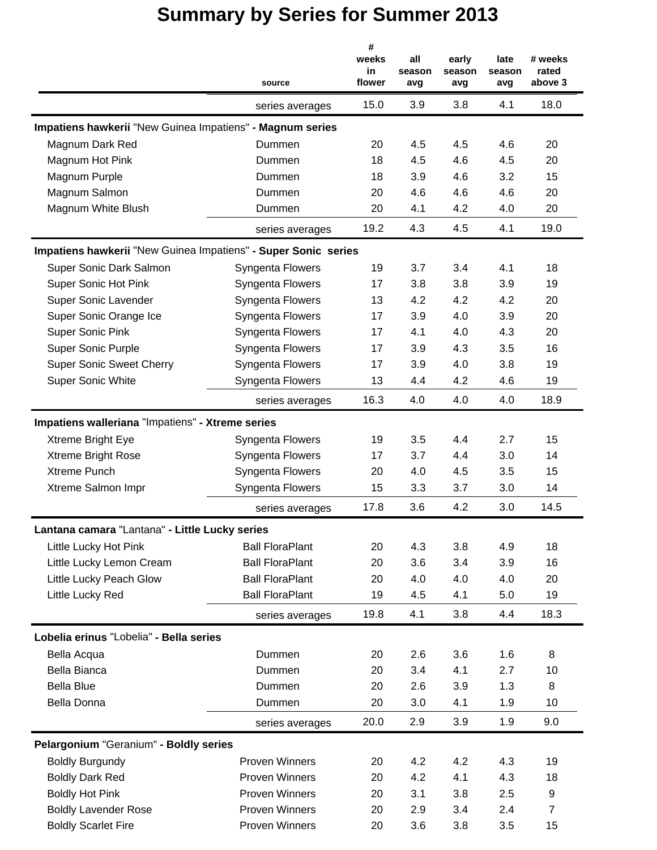|                                                                | source                 | #<br>weeks<br>in<br>flower | all<br>season<br>avg | early<br>season<br>avg | late<br>season<br>avg | # weeks<br>rated<br>above 3 |
|----------------------------------------------------------------|------------------------|----------------------------|----------------------|------------------------|-----------------------|-----------------------------|
|                                                                | series averages        | 15.0                       | 3.9                  | 3.8                    | 4.1                   | 18.0                        |
| Impatiens hawkerii "New Guinea Impatiens" - Magnum series      |                        |                            |                      |                        |                       |                             |
| Magnum Dark Red                                                | Dummen                 | 20                         | 4.5                  | 4.5                    | 4.6                   | 20                          |
| Magnum Hot Pink                                                | Dummen                 | 18                         | 4.5                  | 4.6                    | 4.5                   | 20                          |
| Magnum Purple                                                  | Dummen                 | 18                         | 3.9                  | 4.6                    | 3.2                   | 15                          |
| Magnum Salmon                                                  | Dummen                 | 20                         | 4.6                  | 4.6                    | 4.6                   | 20                          |
| Magnum White Blush                                             | Dummen                 | 20                         | 4.1                  | 4.2                    | 4.0                   | 20                          |
|                                                                | series averages        | 19.2                       | 4.3                  | 4.5                    | 4.1                   | 19.0                        |
| Impatiens hawkerii "New Guinea Impatiens" - Super Sonic series |                        |                            |                      |                        |                       |                             |
| Super Sonic Dark Salmon                                        | Syngenta Flowers       | 19                         | 3.7                  | 3.4                    | 4.1                   | 18                          |
| Super Sonic Hot Pink                                           | Syngenta Flowers       | 17                         | 3.8                  | 3.8                    | 3.9                   | 19                          |
| Super Sonic Lavender                                           | Syngenta Flowers       | 13                         | 4.2                  | 4.2                    | 4.2                   | 20                          |
| Super Sonic Orange Ice                                         | Syngenta Flowers       | 17                         | 3.9                  | 4.0                    | 3.9                   | 20                          |
| <b>Super Sonic Pink</b>                                        | Syngenta Flowers       | 17                         | 4.1                  | 4.0                    | 4.3                   | 20                          |
| <b>Super Sonic Purple</b>                                      | Syngenta Flowers       | 17                         | 3.9                  | 4.3                    | 3.5                   | 16                          |
| <b>Super Sonic Sweet Cherry</b>                                | Syngenta Flowers       | 17                         | 3.9                  | 4.0                    | 3.8                   | 19                          |
| <b>Super Sonic White</b>                                       | Syngenta Flowers       | 13                         | 4.4                  | 4.2                    | 4.6                   | 19                          |
|                                                                | series averages        | 16.3                       | 4.0                  | 4.0                    | 4.0                   | 18.9                        |
| Impatiens walleriana "Impatiens" - Xtreme series               |                        |                            |                      |                        |                       |                             |
| Xtreme Bright Eye                                              | Syngenta Flowers       | 19                         | 3.5                  | 4.4                    | 2.7                   | 15                          |
| Xtreme Bright Rose                                             | Syngenta Flowers       | 17                         | 3.7                  | 4.4                    | 3.0                   | 14                          |
| Xtreme Punch                                                   | Syngenta Flowers       | 20                         | 4.0                  | 4.5                    | 3.5                   | 15                          |
| Xtreme Salmon Impr                                             | Syngenta Flowers       | 15                         | 3.3                  | 3.7                    | 3.0                   | 14                          |
|                                                                | series averages        | 17.8                       | 3.6                  | 4.2                    | 3.0                   | 14.5                        |
| Lantana camara "Lantana" - Little Lucky series                 |                        |                            |                      |                        |                       |                             |
| Little Lucky Hot Pink                                          | <b>Ball FloraPlant</b> | 20                         | 4.3                  | 3.8                    | 4.9                   | 18                          |
| Little Lucky Lemon Cream                                       | <b>Ball FloraPlant</b> | 20                         | 3.6                  | 3.4                    | 3.9                   | 16                          |
| Little Lucky Peach Glow                                        | <b>Ball FloraPlant</b> | 20                         | 4.0                  | 4.0                    | 4.0                   | 20                          |
| Little Lucky Red                                               | <b>Ball FloraPlant</b> | 19                         | 4.5                  | 4.1                    | 5.0                   | 19                          |
|                                                                | series averages        | 19.8                       | 4.1                  | 3.8                    | 4.4                   | 18.3                        |
| Lobelia erinus "Lobelia" - Bella series                        |                        |                            |                      |                        |                       |                             |
| Bella Acqua                                                    | Dummen                 | 20                         | 2.6                  | 3.6                    | 1.6                   | 8                           |
| <b>Bella Bianca</b>                                            | Dummen                 | 20                         | 3.4                  | 4.1                    | 2.7                   | 10                          |
| <b>Bella Blue</b>                                              | Dummen                 | 20                         | 2.6                  | 3.9                    | 1.3                   | 8                           |
| Bella Donna                                                    | Dummen                 | 20                         | 3.0                  | 4.1                    | 1.9                   | 10                          |
|                                                                | series averages        | 20.0                       | 2.9                  | 3.9                    | 1.9                   | 9.0                         |
| Pelargonium "Geranium" - Boldly series                         |                        |                            |                      |                        |                       |                             |
| <b>Boldly Burgundy</b>                                         | <b>Proven Winners</b>  | 20                         | 4.2                  | 4.2                    | 4.3                   | 19                          |
| <b>Boldly Dark Red</b>                                         | <b>Proven Winners</b>  | 20                         | 4.2                  | 4.1                    | 4.3                   | 18                          |
| <b>Boldly Hot Pink</b>                                         | <b>Proven Winners</b>  | 20                         | 3.1                  | 3.8                    | 2.5                   | 9                           |
| <b>Boldly Lavender Rose</b>                                    | <b>Proven Winners</b>  | 20                         | 2.9                  | 3.4                    | 2.4                   | $\overline{7}$              |
| <b>Boldly Scarlet Fire</b>                                     | Proven Winners         | 20                         | 3.6                  | 3.8                    | 3.5                   | 15                          |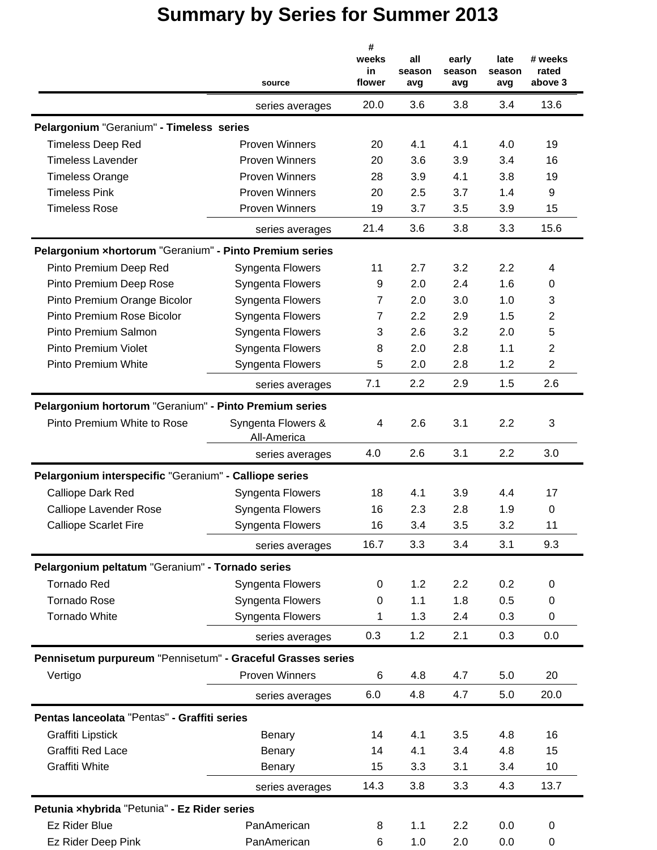|                                                             | source                            | #<br>weeks<br>in<br>flower | all<br>season<br>avg | early<br>season<br>avg | late<br>season<br>avg | # weeks<br>rated<br>above 3 |
|-------------------------------------------------------------|-----------------------------------|----------------------------|----------------------|------------------------|-----------------------|-----------------------------|
|                                                             | series averages                   | 20.0                       | 3.6                  | 3.8                    | 3.4                   | 13.6                        |
| Pelargonium "Geranium" - Timeless series                    |                                   |                            |                      |                        |                       |                             |
| <b>Timeless Deep Red</b>                                    | <b>Proven Winners</b>             | 20                         | 4.1                  | 4.1                    | 4.0                   | 19                          |
| <b>Timeless Lavender</b>                                    | <b>Proven Winners</b>             | 20                         | 3.6                  | 3.9                    | 3.4                   | 16                          |
| <b>Timeless Orange</b>                                      | <b>Proven Winners</b>             | 28                         | 3.9                  | 4.1                    | 3.8                   | 19                          |
| <b>Timeless Pink</b>                                        | <b>Proven Winners</b>             | 20                         | 2.5                  | 3.7                    | 1.4                   | 9                           |
| <b>Timeless Rose</b>                                        | <b>Proven Winners</b>             | 19                         | 3.7                  | 3.5                    | 3.9                   | 15                          |
|                                                             | series averages                   | 21.4                       | 3.6                  | 3.8                    | 3.3                   | 15.6                        |
| Pelargonium xhortorum "Geranium" - Pinto Premium series     |                                   |                            |                      |                        |                       |                             |
| Pinto Premium Deep Red                                      | Syngenta Flowers                  | 11                         | 2.7                  | 3.2                    | 2.2                   | 4                           |
| Pinto Premium Deep Rose                                     | Syngenta Flowers                  | 9                          | 2.0                  | 2.4                    | 1.6                   | $\pmb{0}$                   |
| Pinto Premium Orange Bicolor                                | <b>Syngenta Flowers</b>           | 7                          | 2.0                  | 3.0                    | 1.0                   | 3                           |
| Pinto Premium Rose Bicolor                                  | Syngenta Flowers                  | $\overline{7}$             | 2.2                  | 2.9                    | 1.5                   | 2                           |
| Pinto Premium Salmon                                        | Syngenta Flowers                  | 3                          | 2.6                  | 3.2                    | 2.0                   | 5                           |
| <b>Pinto Premium Violet</b>                                 | Syngenta Flowers                  | 8                          | 2.0                  | 2.8                    | 1.1                   | $\overline{2}$              |
| <b>Pinto Premium White</b>                                  | Syngenta Flowers                  | 5                          | 2.0                  | 2.8                    | 1.2                   | $\overline{2}$              |
|                                                             | series averages                   | 7.1                        | 2.2                  | 2.9                    | 1.5                   | 2.6                         |
| Pelargonium hortorum "Geranium" - Pinto Premium series      |                                   |                            |                      |                        |                       |                             |
| Pinto Premium White to Rose                                 | Syngenta Flowers &<br>All-America | 4                          | 2.6                  | 3.1                    | 2.2                   | 3                           |
|                                                             | series averages                   | 4.0                        | 2.6                  | 3.1                    | 2.2                   | 3.0                         |
| Pelargonium interspecific "Geranium" - Calliope series      |                                   |                            |                      |                        |                       |                             |
| Calliope Dark Red                                           | Syngenta Flowers                  | 18                         | 4.1                  | 3.9                    | 4.4                   | 17                          |
| <b>Calliope Lavender Rose</b>                               | Syngenta Flowers                  | 16                         | 2.3                  | 2.8                    | 1.9                   | $\mathbf 0$                 |
| <b>Calliope Scarlet Fire</b>                                | Syngenta Flowers                  | 16                         | 3.4                  | 3.5                    | 3.2                   | 11                          |
|                                                             | series averages                   | 16.7                       | 3.3                  | 3.4                    | 3.1                   | 9.3                         |
| Pelargonium peltatum "Geranium" - Tornado series            |                                   |                            |                      |                        |                       |                             |
| <b>Tornado Red</b>                                          | Syngenta Flowers                  | 0                          | 1.2                  | 2.2                    | 0.2                   | 0                           |
| <b>Tornado Rose</b>                                         | Syngenta Flowers                  | 0                          | 1.1                  | 1.8                    | 0.5                   | 0                           |
| Tornado White                                               | Syngenta Flowers                  | 1                          | 1.3                  | 2.4                    | 0.3                   | 0                           |
|                                                             | series averages                   | 0.3                        | 1.2                  | 2.1                    | 0.3                   | 0.0                         |
| Pennisetum purpureum "Pennisetum" - Graceful Grasses series |                                   |                            |                      |                        |                       |                             |
| Vertigo                                                     | <b>Proven Winners</b>             | 6                          | 4.8                  | 4.7                    | 5.0                   | 20                          |
|                                                             | series averages                   | 6.0                        | 4.8                  | 4.7                    | 5.0                   | 20.0                        |
| Pentas lanceolata "Pentas" - Graffiti series                |                                   |                            |                      |                        |                       |                             |
| Graffiti Lipstick                                           | Benary                            | 14                         | 4.1                  | 3.5                    | 4.8                   | 16                          |
| <b>Graffiti Red Lace</b>                                    | Benary                            | 14                         | 4.1                  | 3.4                    | 4.8                   | 15                          |
| Graffiti White                                              | Benary                            | 15                         | 3.3                  | 3.1                    | 3.4                   | 10                          |
|                                                             | series averages                   | 14.3                       | 3.8                  | 3.3                    | 4.3                   | 13.7                        |
| Petunia xhybrida "Petunia" - Ez Rider series                |                                   |                            |                      |                        |                       |                             |
| <b>Ez Rider Blue</b>                                        | PanAmerican                       | 8                          | 1.1                  | 2.2                    | 0.0                   | 0                           |
| Ez Rider Deep Pink                                          | PanAmerican                       | 6                          | 1.0                  | 2.0                    | 0.0                   | 0                           |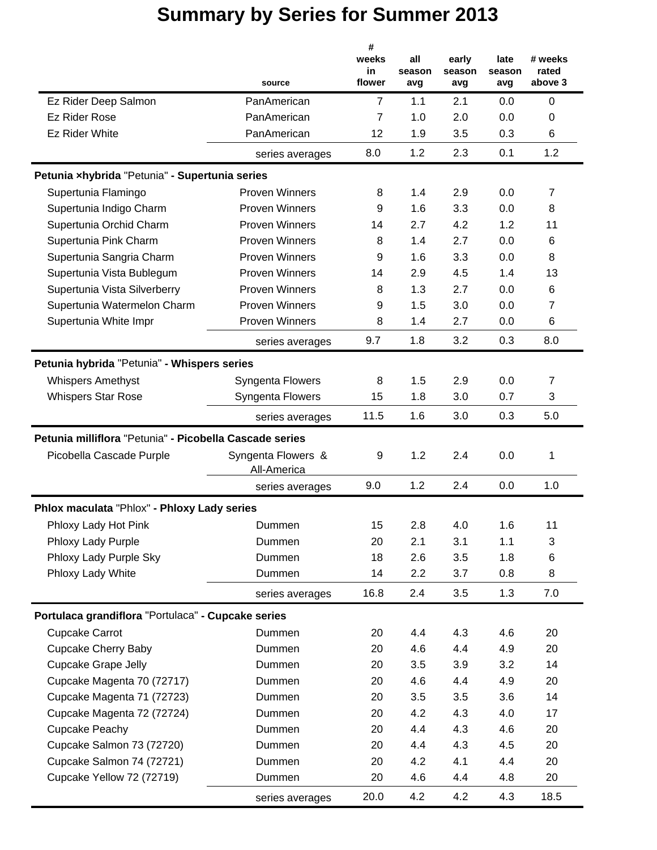|                                                         | source                            | #<br>weeks<br>in<br>flower | all<br>season<br>avg | early<br>season<br>avg | late<br>season<br>avg | # weeks<br>rated<br>above 3 |
|---------------------------------------------------------|-----------------------------------|----------------------------|----------------------|------------------------|-----------------------|-----------------------------|
| Ez Rider Deep Salmon                                    | PanAmerican                       | $\overline{7}$             | 1.1                  | 2.1                    | 0.0                   | $\mathbf 0$                 |
| Ez Rider Rose                                           | PanAmerican                       | $\overline{7}$             | 1.0                  | 2.0                    | 0.0                   | 0                           |
| <b>Ez Rider White</b>                                   | PanAmerican                       | 12                         | 1.9                  | 3.5                    | 0.3                   | 6                           |
|                                                         |                                   | 8.0                        | 1.2                  | 2.3                    | 0.1                   | 1.2                         |
|                                                         | series averages                   |                            |                      |                        |                       |                             |
| Petunia xhybrida "Petunia" - Supertunia series          |                                   |                            |                      |                        |                       |                             |
| Supertunia Flamingo                                     | <b>Proven Winners</b>             | 8                          | 1.4                  | 2.9                    | 0.0                   | 7                           |
| Supertunia Indigo Charm                                 | <b>Proven Winners</b>             | 9                          | 1.6                  | 3.3                    | 0.0                   | 8                           |
| Supertunia Orchid Charm                                 | <b>Proven Winners</b>             | 14                         | 2.7                  | 4.2                    | 1.2                   | 11                          |
| Supertunia Pink Charm                                   | <b>Proven Winners</b>             | 8                          | 1.4                  | 2.7                    | 0.0                   | 6                           |
| Supertunia Sangria Charm                                | <b>Proven Winners</b>             | 9                          | 1.6                  | 3.3                    | 0.0                   | 8                           |
| Supertunia Vista Bublegum                               | <b>Proven Winners</b>             | 14                         | 2.9                  | 4.5                    | 1.4                   | 13                          |
| Supertunia Vista Silverberry                            | <b>Proven Winners</b>             | 8                          | 1.3                  | 2.7                    | 0.0                   | 6                           |
| Supertunia Watermelon Charm                             | <b>Proven Winners</b>             | 9                          | 1.5                  | 3.0                    | 0.0                   | 7                           |
| Supertunia White Impr                                   | <b>Proven Winners</b>             | 8                          | 1.4                  | 2.7                    | 0.0                   | 6                           |
|                                                         | series averages                   | 9.7                        | 1.8                  | 3.2                    | 0.3                   | 8.0                         |
| Petunia hybrida "Petunia" - Whispers series             |                                   |                            |                      |                        |                       |                             |
| <b>Whispers Amethyst</b>                                | Syngenta Flowers                  | 8                          | 1.5                  | 2.9                    | 0.0                   | 7                           |
| <b>Whispers Star Rose</b>                               | Syngenta Flowers                  | 15                         | 1.8                  | 3.0                    | 0.7                   | 3                           |
|                                                         | series averages                   | 11.5                       | 1.6                  | 3.0                    | 0.3                   | 5.0                         |
|                                                         |                                   |                            |                      |                        |                       |                             |
| Petunia milliflora "Petunia" - Picobella Cascade series |                                   |                            |                      |                        |                       |                             |
| Picobella Cascade Purple                                | Syngenta Flowers &<br>All-America | 9                          | 1.2                  | 2.4                    | 0.0                   | 1                           |
|                                                         | series averages                   | 9.0                        | 1.2                  | 2.4                    | 0.0                   | 1.0                         |
| Phlox maculata "Phlox" - Phloxy Lady series             |                                   |                            |                      |                        |                       |                             |
| Phloxy Lady Hot Pink                                    | Dummen                            | 15                         | 2.8                  | 4.0                    | 1.6                   | 11                          |
| Phloxy Lady Purple                                      | Dummen                            | 20                         | 2.1                  | 3.1                    | 1.1                   | 3                           |
| Phloxy Lady Purple Sky                                  | Dummen                            | 18                         | 2.6                  | 3.5                    | 1.8                   | 6                           |
| Phloxy Lady White                                       | Dummen                            | 14                         | 2.2                  | 3.7                    | 0.8                   | 8                           |
|                                                         | series averages                   | 16.8                       | 2.4                  | 3.5                    | 1.3                   | 7.0                         |
| Portulaca grandiflora "Portulaca" - Cupcake series      |                                   |                            |                      |                        |                       |                             |
| <b>Cupcake Carrot</b>                                   | Dummen                            | 20                         | 4.4                  | 4.3                    | 4.6                   | 20                          |
| Cupcake Cherry Baby                                     | Dummen                            | 20                         | 4.6                  | 4.4                    | 4.9                   | 20                          |
| <b>Cupcake Grape Jelly</b>                              | Dummen                            | 20                         | 3.5                  | 3.9                    | 3.2                   | 14                          |
| Cupcake Magenta 70 (72717)                              | Dummen                            | 20                         | 4.6                  | 4.4                    | 4.9                   | 20                          |
| Cupcake Magenta 71 (72723)                              | Dummen                            | 20                         | 3.5                  | 3.5                    | 3.6                   | 14                          |
| Cupcake Magenta 72 (72724)                              | Dummen                            | 20                         | 4.2                  | 4.3                    | 4.0                   | 17                          |
| Cupcake Peachy                                          | Dummen                            | 20                         | 4.4                  | 4.3                    | 4.6                   | 20                          |
| Cupcake Salmon 73 (72720)                               | Dummen                            | 20                         | 4.4                  | 4.3                    | 4.5                   | 20                          |
| Cupcake Salmon 74 (72721)                               | Dummen                            | 20                         | 4.2                  | 4.1                    | 4.4                   | 20                          |
| Cupcake Yellow 72 (72719)                               | Dummen                            | 20                         | 4.6                  | 4.4                    | 4.8                   | 20                          |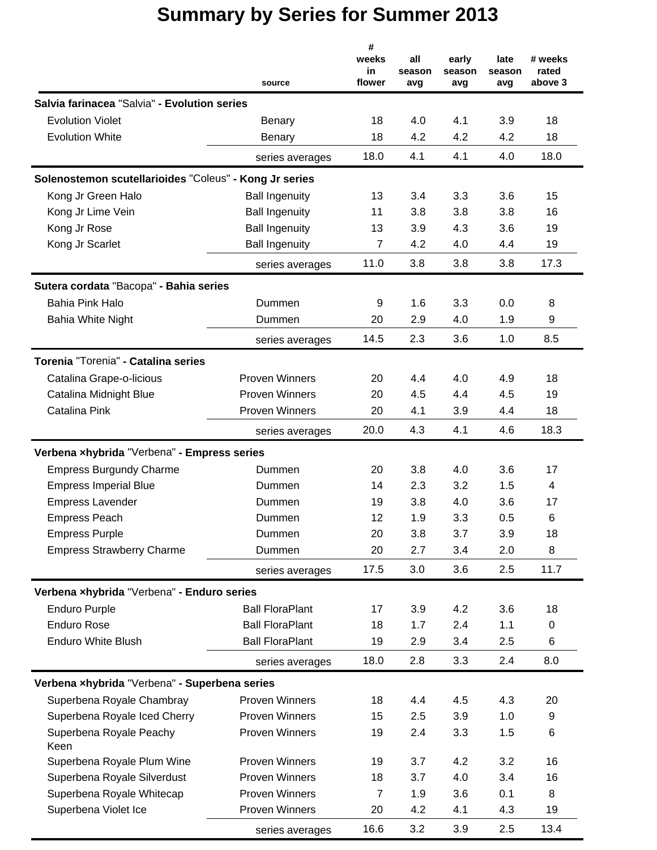|                                                        | source                 | #<br>weeks<br>in<br>flower | all<br>season<br>avg | early<br>season<br>avg | late<br>season<br>avg | # weeks<br>rated<br>above 3 |
|--------------------------------------------------------|------------------------|----------------------------|----------------------|------------------------|-----------------------|-----------------------------|
| Salvia farinacea "Salvia" - Evolution series           |                        |                            |                      |                        |                       |                             |
| <b>Evolution Violet</b>                                | Benary                 | 18                         | 4.0                  | 4.1                    | 3.9                   | 18                          |
| <b>Evolution White</b>                                 | Benary                 | 18                         | 4.2                  | 4.2                    | 4.2                   | 18                          |
|                                                        | series averages        | 18.0                       | 4.1                  | 4.1                    | 4.0                   | 18.0                        |
| Solenostemon scutellarioides "Coleus" - Kong Jr series |                        |                            |                      |                        |                       |                             |
| Kong Jr Green Halo                                     | <b>Ball Ingenuity</b>  | 13                         | 3.4                  | 3.3                    | 3.6                   | 15                          |
| Kong Jr Lime Vein                                      | <b>Ball Ingenuity</b>  | 11                         | 3.8                  | 3.8                    | 3.8                   | 16                          |
| Kong Jr Rose                                           | <b>Ball Ingenuity</b>  | 13                         | 3.9                  | 4.3                    | 3.6                   | 19                          |
| Kong Jr Scarlet                                        | <b>Ball Ingenuity</b>  | $\overline{7}$             | 4.2                  | 4.0                    | 4.4                   | 19                          |
|                                                        | series averages        | 11.0                       | 3.8                  | 3.8                    | 3.8                   | 17.3                        |
| Sutera cordata "Bacopa" - Bahia series                 |                        |                            |                      |                        |                       |                             |
| <b>Bahia Pink Halo</b>                                 | Dummen                 | 9                          | 1.6                  | 3.3                    | 0.0                   | 8                           |
| <b>Bahia White Night</b>                               | Dummen                 | 20                         | 2.9                  | 4.0                    | 1.9                   | 9                           |
|                                                        | series averages        | 14.5                       | 2.3                  | 3.6                    | 1.0                   | 8.5                         |
| Torenia "Torenia" - Catalina series                    |                        |                            |                      |                        |                       |                             |
| Catalina Grape-o-licious                               | <b>Proven Winners</b>  | 20                         | 4.4                  | 4.0                    | 4.9                   | 18                          |
| Catalina Midnight Blue                                 | <b>Proven Winners</b>  | 20                         | 4.5                  | 4.4                    | 4.5                   | 19                          |
| Catalina Pink                                          | <b>Proven Winners</b>  | 20                         | 4.1                  | 3.9                    | 4.4                   | 18                          |
|                                                        | series averages        | 20.0                       | 4.3                  | 4.1                    | 4.6                   | 18.3                        |
| Verbena xhybrida "Verbena" - Empress series            |                        |                            |                      |                        |                       |                             |
| <b>Empress Burgundy Charme</b>                         | Dummen                 | 20                         | 3.8                  | 4.0                    | 3.6                   | 17                          |
| <b>Empress Imperial Blue</b>                           | Dummen                 | 14                         | 2.3                  | 3.2                    | 1.5                   | 4                           |
| <b>Empress Lavender</b>                                | Dummen                 | 19                         | 3.8                  | 4.0                    | 3.6                   | 17                          |
| <b>Empress Peach</b>                                   | Dummen                 | 12                         | 1.9                  | 3.3                    | 0.5                   | 6                           |
| <b>Empress Purple</b>                                  | Dummen                 | 20                         | 3.8                  | 3.7                    | 3.9                   | 18                          |
| <b>Empress Strawberry Charme</b>                       | Dummen                 | 20                         | 2.7                  | 3.4                    | 2.0                   | 8                           |
|                                                        | series averages        | 17.5                       | 3.0                  | 3.6                    | 2.5                   | 11.7                        |
| Verbena xhybrida "Verbena" - Enduro series             |                        |                            |                      |                        |                       |                             |
| <b>Enduro Purple</b>                                   | <b>Ball FloraPlant</b> | 17                         | 3.9                  | 4.2                    | 3.6                   | 18                          |
| <b>Enduro Rose</b>                                     | <b>Ball FloraPlant</b> | 18                         | 1.7                  | 2.4                    | 1.1                   | 0                           |
| <b>Enduro White Blush</b>                              | <b>Ball FloraPlant</b> | 19                         | 2.9                  | 3.4                    | $2.5\,$               | 6                           |
|                                                        | series averages        | 18.0                       | 2.8                  | 3.3                    | 2.4                   | 8.0                         |
| Verbena xhybrida "Verbena" - Superbena series          |                        |                            |                      |                        |                       |                             |
| Superbena Royale Chambray                              | <b>Proven Winners</b>  | 18                         | 4.4                  | 4.5                    | 4.3                   | 20                          |
| Superbena Royale Iced Cherry                           | <b>Proven Winners</b>  | 15                         | 2.5                  | 3.9                    | 1.0                   | 9                           |
| Superbena Royale Peachy<br>Keen                        | <b>Proven Winners</b>  | 19                         | 2.4                  | 3.3                    | 1.5                   | 6                           |
| Superbena Royale Plum Wine                             | <b>Proven Winners</b>  | 19                         | 3.7                  | 4.2                    | 3.2                   | 16                          |
| Superbena Royale Silverdust                            | <b>Proven Winners</b>  | 18                         | 3.7                  | 4.0                    | 3.4                   | 16                          |
| Superbena Royale Whitecap                              | <b>Proven Winners</b>  | $\overline{7}$             | 1.9                  | 3.6                    | 0.1                   | 8                           |
| Superbena Violet Ice                                   | <b>Proven Winners</b>  | 20                         | 4.2                  | 4.1                    | 4.3                   | 19                          |
|                                                        | series averages        | 16.6                       | 3.2                  | 3.9                    | 2.5                   | 13.4                        |